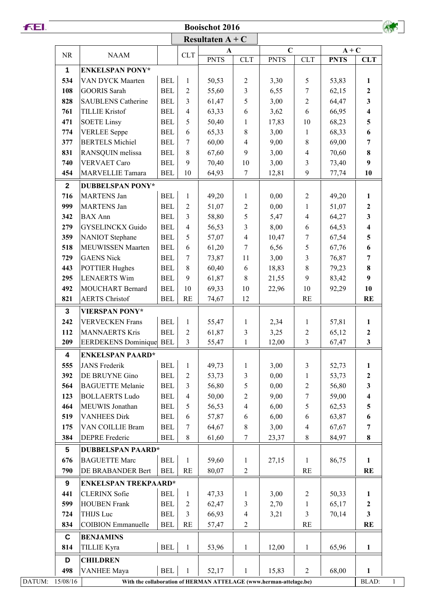| FEI. |                    |                                                                    |                          |                          | <b>Booischot 2016</b>   |                          |                       |                |                         |                         |  |  |  |
|------|--------------------|--------------------------------------------------------------------|--------------------------|--------------------------|-------------------------|--------------------------|-----------------------|----------------|-------------------------|-------------------------|--|--|--|
|      | Resultaten $A + C$ |                                                                    |                          |                          |                         |                          |                       |                |                         |                         |  |  |  |
|      | <b>NR</b>          | <b>NAAM</b>                                                        |                          | CLT                      | A                       |                          | $\mathbf C$           |                | $A + C$                 |                         |  |  |  |
|      |                    |                                                                    |                          |                          | <b>PNTS</b>             | <b>CLT</b>               | <b>PNTS</b>           | <b>CLT</b>     | <b>PNTS</b>             | <b>CLT</b>              |  |  |  |
|      | 1                  | <b>ENKELSPAN PONY*</b>                                             |                          |                          |                         |                          |                       |                |                         |                         |  |  |  |
|      | 534                | VAN DYCK Maarten                                                   | $\operatorname{BEL}$     | $\mathbf{1}$             | 50,53                   | $\overline{c}$           | 3,30                  | 5              | 53,83                   | $\mathbf{1}$            |  |  |  |
|      | 108                | <b>GOORIS Sarah</b>                                                | <b>BEL</b>               | $\overline{2}$           | 55,60                   | 3                        | 6,55                  | 7              | 62,15                   | $\boldsymbol{2}$        |  |  |  |
|      | 828                | <b>SAUBLENS Catherine</b>                                          | <b>BEL</b>               | 3                        | 61,47                   | 5                        | 3,00                  | $\mathbf{2}$   | 64,47                   | $\mathbf{3}$            |  |  |  |
|      | 761                | <b>TILLIE Kristof</b>                                              | <b>BEL</b>               | $\overline{4}$           | 63,33                   | 6                        | 3,62                  | 6              | 66,95                   | $\overline{\mathbf{4}}$ |  |  |  |
|      | 471                | <b>SOETE Linsy</b>                                                 | <b>BEL</b>               | 5                        | 50,40                   | 1                        | 17,83                 | 10             | 68,23                   | 5                       |  |  |  |
|      | 774                | <b>VERLEE</b> Seppe                                                | <b>BEL</b>               | 6                        | 65,33                   | 8                        | 3,00                  | $\mathbf{1}$   | 68,33                   | 6                       |  |  |  |
|      | 377                | <b>BERTELS Michiel</b>                                             | <b>BEL</b>               | 7                        | 60,00                   | 4                        | 9,00                  | $\,$ 8 $\,$    | 69,00                   | 7                       |  |  |  |
|      | 831                | RANSQUIN melissa                                                   | <b>BEL</b>               | 8                        | 67,60                   | 9                        | 3,00                  | 4              | 70,60                   | $\bf{8}$                |  |  |  |
|      | 740                | <b>VERVAET Caro</b>                                                | $\operatorname{BEL}$     | 9                        | 70,40                   | 10                       | 3,00                  | 3              | 73,40                   | 9                       |  |  |  |
|      | 454                | <b>MARVELLIE Tamara</b>                                            | <b>BEL</b>               | 10                       | 64,93                   | 7                        | 12,81                 | 9              | 77,74                   | 10                      |  |  |  |
|      | $\mathbf{2}$       | <b>DUBBELSPAN PONY*</b>                                            |                          |                          |                         |                          |                       |                |                         |                         |  |  |  |
|      | 716                | MARTENS Jan                                                        | <b>BEL</b>               | $\mathbf{1}$             | 49,20                   | $\mathbf{1}$             | 0,00                  | $\overline{2}$ | 49,20                   | $\mathbf{1}$            |  |  |  |
|      | 999                | <b>MARTENS Jan</b>                                                 | <b>BEL</b>               | $\overline{2}$           | 51,07                   | $\overline{c}$           | 0,00                  | $\mathbf{1}$   | 51,07                   | $\boldsymbol{2}$        |  |  |  |
|      | 342                | <b>BAX</b> Ann                                                     | <b>BEL</b>               | 3<br>$\overline{4}$<br>5 | 58,80<br>56,53<br>57,07 | 5                        | 5,47<br>8,00<br>10,47 | 4<br>6<br>7    | 64,27<br>64,53<br>67,54 | $\mathbf{3}$            |  |  |  |
|      | 279                | <b>GYSELINCKX Guido</b><br><b>NANIOT</b> Stephane                  | <b>BEL</b><br><b>BEL</b> |                          |                         | 3<br>4                   |                       |                |                         | $\overline{\mathbf{4}}$ |  |  |  |
|      | 359                |                                                                    |                          |                          |                         |                          |                       |                |                         | 5                       |  |  |  |
|      | 518                | <b>MEUWISSEN Maarten</b>                                           | <b>BEL</b>               | 6                        | 61,20                   | 7                        | 6,56                  | 5              | 67,76                   | 6                       |  |  |  |
|      | 729                | <b>GAENS Nick</b>                                                  | $\operatorname{BEL}$     | 7                        | 73,87                   | 11                       | 3,00                  | 3              | 76,87                   | $\overline{7}$          |  |  |  |
|      | 443                | <b>POTTIER Hughes</b>                                              | <b>BEL</b>               | 8                        | 60,40                   | 6                        | 18,83                 | $\,$ 8 $\,$    | 79,23                   | 8                       |  |  |  |
|      | 295                | <b>LENAERTS Wim</b>                                                | <b>BEL</b>               | 9                        | 61,87                   | 8                        | 21,55                 | 9              | 83,42                   | $\boldsymbol{9}$        |  |  |  |
|      | 492                | <b>MOUCHART Bernard</b>                                            | <b>BEL</b>               | 10                       | 69,33                   | 10                       | 22,96                 | 10             | 92,29                   | 10                      |  |  |  |
|      | 821                | <b>AERTS Christof</b>                                              | <b>BEL</b>               | RE                       | 74,67                   | 12                       |                       | <b>RE</b>      |                         | <b>RE</b>               |  |  |  |
|      | $\mathbf{3}$       | <b>VIERSPAN PONY*</b>                                              |                          |                          |                         |                          |                       |                |                         |                         |  |  |  |
|      | 242                | <b>VERVECKEN Frans</b>                                             | <b>BEL</b>               | $\mathbf{1}$             | 55,47                   | $\mathbf{1}$             | 2,34                  | $\mathbf{1}$   | 57,81                   | $\mathbf{1}$            |  |  |  |
|      | 112                | <b>MANNAERTS Kris</b>                                              | <b>BEL</b>               | $\overline{2}$           | 61,87                   | 3                        | 3,25                  | $\sqrt{2}$     | 65,12                   | $\mathbf 2$             |  |  |  |
|      | 209                | <b>EERDEKENS Dominique BEL</b>                                     |                          | 3                        | 55,47                   | $\mathbf{1}$             | 12,00                 | 3              | 67,47                   | 3                       |  |  |  |
|      | 4                  | <b>ENKELSPAN PAARD*</b>                                            |                          |                          |                         |                          |                       |                |                         |                         |  |  |  |
|      | 555                | <b>JANS</b> Frederik                                               | $\operatorname{BEL}$     | $\mathbf{1}$             | 49,73                   | $\mathbf{1}$             | 3,00                  | $\mathfrak{Z}$ | 52,73                   | $\mathbf{1}$            |  |  |  |
|      | 392                | DE BRUYNE Gino                                                     | <b>BEL</b>               | $\overline{2}$           | 53,73                   | 3                        | 0,00                  | $\mathbf{1}$   | 53,73                   | $\boldsymbol{2}$        |  |  |  |
|      | 564                | <b>BAGUETTE Melanie</b>                                            | <b>BEL</b>               | 3                        | 56,80                   | 5                        | 0,00                  | $\mathbf{2}$   | 56,80                   | 3                       |  |  |  |
|      | 123                | <b>BOLLAERTS Ludo</b>                                              | <b>BEL</b>               | $\overline{4}$           | 50,00                   | 2                        | 9,00                  | 7              | 59,00                   | 4                       |  |  |  |
|      | 464                | MEUWIS Jonathan                                                    | <b>BEL</b>               | 5                        | 56,53                   | 4                        | 6,00                  | 5              | 62,53                   | 5                       |  |  |  |
|      | 519                | <b>VANHEES Dirk</b>                                                | <b>BEL</b>               | 6                        | 57,87                   | 6                        | 6,00                  | 6              | 63,87                   | 6                       |  |  |  |
|      | 175                | VAN COILLIE Bram                                                   | <b>BEL</b>               | 7                        | 64,67                   | 8                        | 3,00                  | $\overline{4}$ | 67,67                   | 7                       |  |  |  |
|      | 384                | <b>DEPRE</b> Frederic                                              | <b>BEL</b>               | 8                        | 61,60                   | $\tau$                   | 23,37                 | $8\,$          | 84,97                   | $\pmb{8}$               |  |  |  |
|      | $5\phantom{.0}$    | <b>DUBBELSPAN PAARD*</b>                                           |                          |                          |                         |                          |                       |                |                         |                         |  |  |  |
|      | 676                | <b>BAGUETTE Marc</b>                                               | $\operatorname{BEL}$     | 1                        | 59,60                   | $\mathbf{1}$             | 27,15                 | $\mathbf{1}$   | 86,75                   | $\mathbf{1}$            |  |  |  |
|      | 790                | DE BRABANDER Bert                                                  | <b>BEL</b>               | RE                       | 80,07                   | $\overline{2}$           |                       | RE             |                         | <b>RE</b>               |  |  |  |
|      | 9                  | <b>ENKELSPAN TREKPAARD*</b>                                        |                          |                          |                         |                          |                       |                |                         |                         |  |  |  |
|      | 441                | <b>CLERINX</b> Sofie                                               | <b>BEL</b>               | 1                        | 47,33                   | 1                        | 3,00                  | $\mathbf{2}$   | 50,33                   | $\mathbf{1}$            |  |  |  |
|      | 599                | <b>HOUBEN Frank</b>                                                | <b>BEL</b>               | $\overline{2}$           | 62,47                   | 3                        | 2,70                  | $\mathbf{1}$   | 65,17                   | $\boldsymbol{2}$        |  |  |  |
|      | 724                | THIJS Luc                                                          | <b>BEL</b>               | 3                        | 66,93                   | $\overline{\mathcal{A}}$ | 3,21                  | $\overline{3}$ | 70,14                   | $\mathbf{3}$            |  |  |  |
|      | 834                | <b>COIBION Emmanuelle</b>                                          | <b>BEL</b>               | RE                       | 57,47                   | $\overline{c}$           |                       | RE             |                         | <b>RE</b>               |  |  |  |
|      | $\mathbf C$        | <b>BENJAMINS</b>                                                   |                          |                          |                         |                          |                       |                |                         |                         |  |  |  |
|      | 814                | <b>TILLIE Kyra</b>                                                 | $\operatorname{BEL}$     | $\mathbf{1}$             | 53,96                   | $\mathbf{1}$             | 12,00                 | $\mathbf{1}$   | 65,96                   | $\mathbf{1}$            |  |  |  |
|      |                    |                                                                    |                          |                          |                         |                          |                       |                |                         |                         |  |  |  |
|      | D                  | <b>CHILDREN</b>                                                    |                          |                          |                         |                          |                       |                |                         |                         |  |  |  |
|      | 498                | <b>VANHEE Maya</b>                                                 | <b>BEL</b>               | $\mathbf{1}$             | 52,17                   | 1                        | 15,83                 | $\overline{2}$ | 68,00                   | $\mathbf{1}$            |  |  |  |
|      | DATUM: 15/08/16    | With the collaboration of HERMAN ATTELAGE (www.herman-attelage.be) |                          |                          |                         |                          |                       |                |                         | BLAD:                   |  |  |  |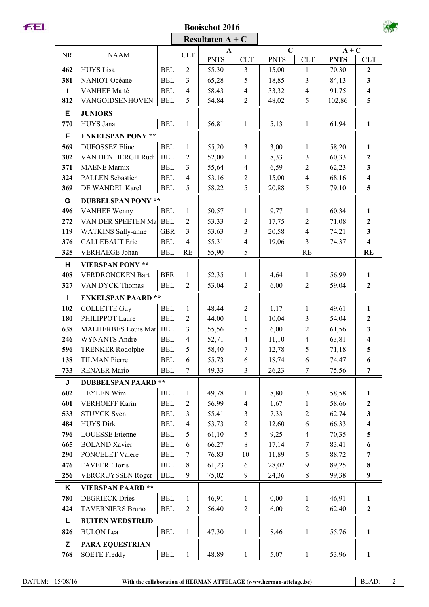## **Booischot 2016**

|              |                           | Resultaten $A + C$   |                  |             |                          |             |                          |             |                         |  |
|--------------|---------------------------|----------------------|------------------|-------------|--------------------------|-------------|--------------------------|-------------|-------------------------|--|
| <b>NR</b>    | <b>NAAM</b>               |                      | <b>CLT</b>       | A           |                          | $\mathbf C$ |                          | $A + C$     |                         |  |
|              |                           |                      |                  | <b>PNTS</b> | <b>CLT</b>               | <b>PNTS</b> | <b>CLT</b>               | <b>PNTS</b> | <b>CLT</b>              |  |
| 462          | <b>HUYS</b> Lisa          | <b>BEL</b>           | $\overline{2}$   | 55,30       | 3                        | 15,00       | $\mathbf{1}$             | 70,30       | $\mathbf{2}$            |  |
| 381          | NANIOT Océane             | <b>BEL</b>           | $\overline{3}$   | 65,28       | 5                        | 18,85       | 3                        | 84,13       | $\mathbf{3}$            |  |
| $\mathbf{1}$ | <b>VANHEE Maité</b>       | <b>BEL</b>           | $\overline{4}$   | 58,43       | $\overline{4}$           | 33,32       | $\overline{4}$           | 91,75       | $\overline{\mathbf{4}}$ |  |
| 812          | VANGOIDSENHOVEN           | <b>BEL</b>           | 5                | 54,84       | $\overline{2}$           | 48,02       | 5                        | 102,86      | $5\overline{)}$         |  |
| Е            | <b>JUNIORS</b>            |                      |                  |             |                          |             |                          |             |                         |  |
| 770          | HUYS Jana                 | <b>BEL</b>           | $\mathbf{1}$     | 56,81       | $\mathbf{1}$             | 5,13        | $\mathbf{1}$             | 61,94       | $\mathbf{1}$            |  |
| F            | <b>ENKELSPAN PONY **</b>  |                      |                  |             |                          |             |                          |             |                         |  |
| 569          | <b>DUFOSSEZ Eline</b>     | <b>BEL</b>           | $\mathbf{1}$     | 55,20       | $\mathfrak{Z}$           | 3,00        | $\mathbf{1}$             | 58,20       | $\mathbf{1}$            |  |
| 302          | VAN DEN BERGH Rudi        | <b>BEL</b>           | $\overline{2}$   | 52,00       | 1                        | 8,33        | 3                        | 60,33       | $\overline{2}$          |  |
| 371          | <b>MAENE</b> Marnix       | <b>BEL</b>           | 3                | 55,64       | $\overline{4}$           | 6,59        | $\overline{2}$           | 62,23       | $\overline{\mathbf{3}}$ |  |
| 324          | <b>PALLEN</b> Sebastien   | <b>BEL</b>           | $\overline{4}$   | 53,16       | $\mathbf{2}$             | 15,00       | $\overline{4}$           | 68,16       | $\overline{\mathbf{4}}$ |  |
| 369          | DE WANDEL Karel           | <b>BEL</b>           | 5                | 58,22       | 5                        | 20,88       | 5                        | 79,10       | 5                       |  |
| G            | <b>DUBBELSPAN PONY **</b> |                      |                  |             |                          |             |                          |             |                         |  |
| 496          | <b>VANHEE Wenny</b>       | <b>BEL</b>           | $\mathbf{1}$     | 50,57       | $\mathbf{1}$             | 9,77        | $\mathbf{1}$             | 60,34       | $\mathbf{1}$            |  |
| 272          | VAN DER SPEETEN Ma        | <b>BEL</b>           | $\sqrt{2}$       | 53,33       | $\overline{c}$           | 17,75       | $\overline{c}$           | 71,08       | $\boldsymbol{2}$        |  |
| 119          | <b>WATKINS</b> Sally-anne | <b>GBR</b>           | 3                | 53,63       | $\overline{3}$           | 20,58       | $\overline{4}$           | 74,21       | $\mathbf{3}$            |  |
| 376          | <b>CALLEBAUT Eric</b>     | <b>BEL</b>           | $\overline{4}$   | 55,31       | $\overline{\mathcal{L}}$ | 19,06       | 3                        | 74,37       | $\overline{\mathbf{4}}$ |  |
| 325          | <b>VERHAEGE Johan</b>     | <b>BEL</b>           | RE               | 55,90       | 5                        |             | <b>RE</b>                |             | <b>RE</b>               |  |
| н            | <b>VIERSPAN PONY **</b>   |                      |                  |             |                          |             |                          |             |                         |  |
| 408          | <b>VERDRONCKEN Bart</b>   | <b>BER</b>           | $\mathbf{1}$     | 52,35       | 1                        | 4,64        | 1                        | 56,99       | $\mathbf{1}$            |  |
| 327          | VAN DYCK Thomas           | <b>BEL</b>           | $\overline{2}$   | 53,04       | $\overline{2}$           | 6,00        | $\overline{2}$           | 59,04       | $\overline{2}$          |  |
| $\mathbf{I}$ | <b>ENKELSPAN PAARD**</b>  |                      |                  |             |                          |             |                          |             |                         |  |
| 102          | <b>COLLETTE Guy</b>       | <b>BEL</b>           | $\mathbf{1}$     | 48,44       | $\mathbf{2}$             | 1,17        | $\mathbf{1}$             | 49,61       | $\mathbf{1}$            |  |
| 180          | PHILIPPOT Laure           | <b>BEL</b>           | $\overline{2}$   | 44,00       | $\mathbf{1}$             | 10,04       | 3                        | 54,04       | $\boldsymbol{2}$        |  |
| 638          | MALHERBES Louis Mar       | <b>BEL</b>           | 3                | 55,56       | 5                        | 6,00        | $\overline{2}$           | 61,56       | $\mathbf{3}$            |  |
| 246          | <b>WYNANTS Andre</b>      | <b>BEL</b>           | $\overline{4}$   | 52,71       | $\overline{\mathcal{L}}$ | 11,10       | $\overline{4}$           | 63,81       | $\overline{\mathbf{4}}$ |  |
| 596          | <b>TRENKER Rodolphe</b>   | <b>BEL</b>           | 5                | 58,40       | $\boldsymbol{7}$         | 12,78       | 5                        | 71,18       | $\overline{\mathbf{5}}$ |  |
| 138          | <b>TILMAN</b> Pierre      | <b>BEL</b>           | $\sqrt{6}$       | 55,73       | $\boldsymbol{6}$         | 18,74       | $\sqrt{6}$               | 74,47       | 6                       |  |
| 733          | <b>RENAER Mario</b>       | <b>BEL</b>           | $\overline{7}$   | 49,33       | $\overline{3}$           | 26,23       | $\overline{7}$           | 75,56       | $\overline{7}$          |  |
| J            | <b>DUBBELSPAN PAARD</b>   | $\star \star$        |                  |             |                          |             |                          |             |                         |  |
| 602          | <b>HEYLEN Wim</b>         | <b>BEL</b>           | $\mathbf{1}$     | 49,78       | $\mathbf{1}$             | 8,80        | $\mathfrak{Z}$           | 58,58       | $\mathbf{1}$            |  |
| 601          | <b>VERHOEFF Karin</b>     | <b>BEL</b>           | $\sqrt{2}$       | 56,99       | $\overline{\mathcal{L}}$ | 1,67        | 1                        | 58,66       | $\mathbf 2$             |  |
| 533          | <b>STUYCK Sven</b>        | <b>BEL</b>           | $\mathfrak{Z}$   | 55,41       | $\mathfrak{Z}$           | 7,33        | $\sqrt{2}$               | 62,74       | $\mathbf{3}$            |  |
| 484          | <b>HUYS Dirk</b>          | <b>BEL</b>           | $\overline{4}$   | 53,73       | $\mathbf{2}$             | 12,60       | 6                        | 66,33       | $\overline{\mathbf{4}}$ |  |
| 796          | <b>LOUESSE</b> Etienne    | <b>BEL</b>           | $\mathfrak s$    | 61,10       | 5                        | 9,25        | $\overline{\mathcal{A}}$ | 70,35       | $\overline{\mathbf{5}}$ |  |
| 665          | <b>BOLAND</b> Xavier      | <b>BEL</b>           | 6                | 66,27       | $\,8\,$                  | 17,14       | 7                        | 83,41       | 6                       |  |
| 290          | PONCELET Valere           | <b>BEL</b>           | $\tau$           | 76,83       | 10                       | 11,89       | 5                        | 88,72       | $\overline{7}$          |  |
| 476          | <b>FAVEERE</b> Joris      | <b>BEL</b>           | $\,$ 8 $\,$      | 61,23       | 6                        | 28,02       | 9                        | 89,25       | $\bf 8$                 |  |
| 256          | <b>VERCRUYSSEN Roger</b>  | <b>BEL</b>           | 9                | 75,02       | 9                        | 24,36       | $\,$ 8 $\,$              | 99,38       | $\boldsymbol{9}$        |  |
| K            | <b>VIERSPAN PAARD**</b>   |                      |                  |             |                          |             |                          |             |                         |  |
| 780          | <b>DEGRIECK Dries</b>     | $\operatorname{BEL}$ | $\,1$            | 46,91       | $\mathbf{1}$             | 0,00        | $\mathbf{1}$             | 46,91       | $\mathbf{1}$            |  |
| 424          | <b>TAVERNIERS Bruno</b>   | <b>BEL</b>           | $\boldsymbol{2}$ | 56,40       | $\sqrt{2}$               | 6,00        | $\sqrt{2}$               | 62,40       | $\mathbf{2}$            |  |
| L            | <b>BUITEN WEDSTRIJD</b>   |                      |                  |             |                          |             |                          |             |                         |  |
| 826          | <b>BULON</b> Lea          | $\operatorname{BEL}$ | $\mathbf 1$      | 47,30       | $\mathbf{1}$             | 8,46        | $\mathbf{1}$             | 55,76       | $\mathbf{1}$            |  |
| Z            | PARA EQUESTRIAN           |                      |                  |             |                          |             |                          |             |                         |  |
| 768          | <b>SOETE Freddy</b>       | <b>BEL</b>           | $\mathbf 1$      | 48,89       | $\mathbf{1}$             | 5,07        | $\mathbf{1}$             | 53,96       | $\mathbf{1}$            |  |
|              |                           |                      |                  |             |                          |             |                          |             |                         |  |

DATUM: 15/08/16

 $A_{\text{tot}}$